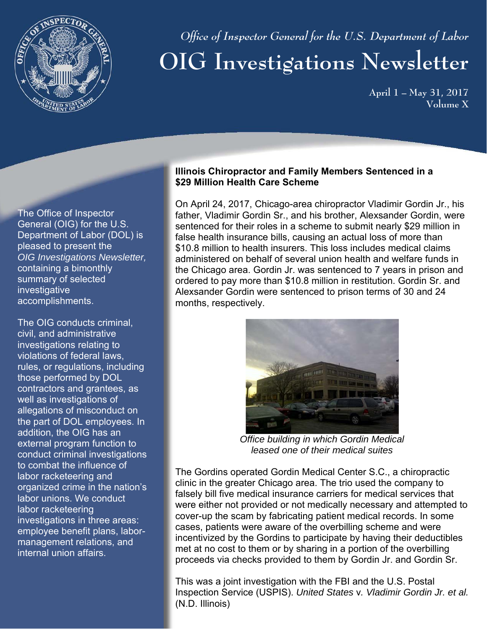

 *Office of Inspector General for the U.S. Department of Labor* 

# **OIG Investigations Newsletter**

**April 1 – May 31, 2017 Volume X** 

The Office of Inspector General (OIG) for the U.S. Department of Labor (DOL) is pleased to present the *OIG Investigations Newsletter,* containing a bimonthly summary of selected investigative accomplishments.

The OIG conducts criminal, civil, and administrative investigations relating to violations of federal laws, rules, or regulations, including those performed by DOL contractors and grantees, as well as investigations of allegations of misconduct on the part of DOL employees. In addition, the OIG has an external program function to conduct criminal investigations to combat the influence of labor racketeering and organized crime in the nation's labor unions. We conduct labor racketeering investigations in three areas: employee benefit plans, labormanagement relations, and internal union affairs.

#### **Illinois Chiropractor and Family Members Sentenced in a \$29 Million Health Care Scheme**

On April 24, 2017, Chicago-area chiropractor Vladimir Gordin Jr., his father, Vladimir Gordin Sr., and his brother, Alexsander Gordin, were sentenced for their roles in a scheme to submit nearly \$29 million in false health insurance bills, causing an actual loss of more than \$10.8 million to health insurers. This loss includes medical claims administered on behalf of several union health and welfare funds in the Chicago area. Gordin Jr. was sentenced to 7 years in prison and ordered to pay more than \$10.8 million in restitution. Gordin Sr. and Alexsander Gordin were sentenced to prison terms of 30 and 24 months, respectively.



*Office building in which Gordin Medical leased one of their medical suites* 

The Gordins operated Gordin Medical Center S.C., a chiropractic clinic in the greater Chicago area. The trio used the company to falsely bill five medical insurance carriers for medical services that were either not provided or not medically necessary and attempted to cover-up the scam by fabricating patient medical records. In some cases, patients were aware of the overbilling scheme and were incentivized by the Gordins to participate by having their deductibles met at no cost to them or by sharing in a portion of the overbilling proceeds via checks provided to them by Gordin Jr. and Gordin Sr.

This was a joint investigation with the FBI and the U.S. Postal Inspection Service (USPIS). *United States* v*. Vladimir Gordin Jr. et al.*  (N.D. Illinois)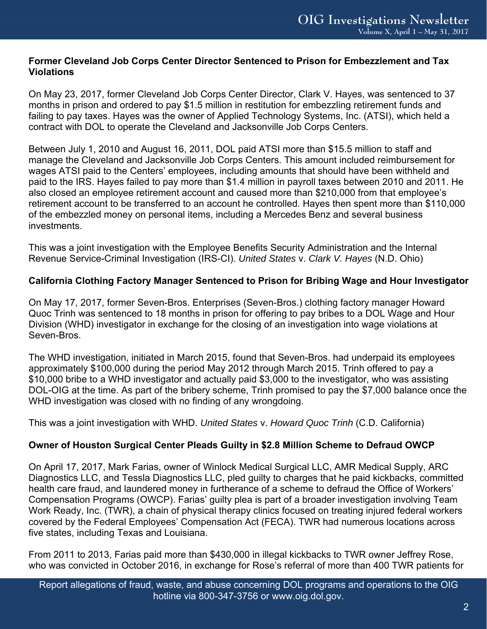#### **Former Cleveland Job Corps Center Director Sentenced to Prison for Embezzlement and Tax Violations**

On May 23, 2017, former Cleveland Job Corps Center Director, Clark V. Hayes, was sentenced to 37 months in prison and ordered to pay \$1.5 million in restitution for embezzling retirement funds and failing to pay taxes. Hayes was the owner of Applied Technology Systems, Inc. (ATSI), which held a contract with DOL to operate the Cleveland and Jacksonville Job Corps Centers.

Between July 1, 2010 and August 16, 2011, DOL paid ATSI more than \$15.5 million to staff and manage the Cleveland and Jacksonville Job Corps Centers. This amount included reimbursement for wages ATSI paid to the Centers' employees, including amounts that should have been withheld and paid to the IRS. Hayes failed to pay more than \$1.4 million in payroll taxes between 2010 and 2011. He also closed an employee retirement account and caused more than \$210,000 from that employee's retirement account to be transferred to an account he controlled. Hayes then spent more than \$110,000 of the embezzled money on personal items, including a Mercedes Benz and several business investments.

This was a joint investigation with the Employee Benefits Security Administration and the Internal Revenue Service-Criminal Investigation (IRS-CI). *United States* v. *Clark V. Hayes* (N.D. Ohio)

## **California Clothing Factory Manager Sentenced to Prison for Bribing Wage and Hour Investigator**

On May 17, 2017, former Seven-Bros. Enterprises (Seven-Bros.) clothing factory manager Howard Quoc Trinh was sentenced to 18 months in prison for offering to pay bribes to a DOL Wage and Hour Division (WHD) investigator in exchange for the closing of an investigation into wage violations at Seven-Bros.

The WHD investigation, initiated in March 2015, found that Seven-Bros. had underpaid its employees approximately \$100,000 during the period May 2012 through March 2015. Trinh offered to pay a \$10,000 bribe to a WHD investigator and actually paid \$3,000 to the investigator, who was assisting DOL-OIG at the time. As part of the bribery scheme, Trinh promised to pay the \$7,000 balance once the WHD investigation was closed with no finding of any wrongdoing.

This was a joint investigation with WHD. *United States* v. *Howard Quoc Trinh* (C.D. California)

## **Owner of Houston Surgical Center Pleads Guilty in \$2.8 Million Scheme to Defraud OWCP**

On April 17, 2017, Mark Farias, owner of Winlock Medical Surgical LLC, AMR Medical Supply, ARC Diagnostics LLC, and Tessla Diagnostics LLC, pled guilty to charges that he paid kickbacks, committed health care fraud, and laundered money in furtherance of a scheme to defraud the Office of Workers' Compensation Programs (OWCP). Farias' guilty plea is part of a broader investigation involving Team Work Ready, Inc. (TWR), a chain of physical therapy clinics focused on treating injured federal workers covered by the Federal Employees' Compensation Act (FECA). TWR had numerous locations across five states, including Texas and Louisiana.

From 2011 to 2013, Farias paid more than \$430,000 in illegal kickbacks to TWR owner Jeffrey Rose, who was convicted in October 2016, in exchange for Rose's referral of more than 400 TWR patients for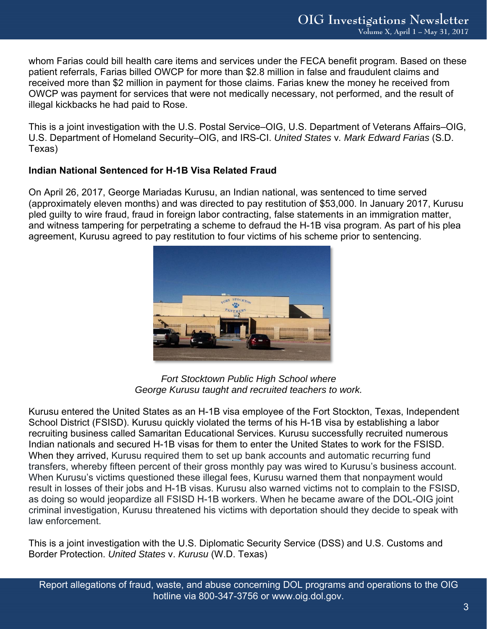whom Farias could bill health care items and services under the FECA benefit program. Based on these patient referrals, Farias billed OWCP for more than \$2.8 million in false and fraudulent claims and received more than \$2 million in payment for those claims. Farias knew the money he received from OWCP was payment for services that were not medically necessary, not performed, and the result of illegal kickbacks he had paid to Rose.

This is a joint investigation with the U.S. Postal Service–OIG, U.S. Department of Veterans Affairs–OIG, U.S. Department of Homeland Security–OIG, and IRS-CI. *United States* v*. Mark Edward Farias* (S.D. Texas)

## **Indian National Sentenced for H-1B Visa Related Fraud**

On April 26, 2017, George Mariadas Kurusu, an Indian national, was sentenced to time served (approximately eleven months) and was directed to pay restitution of \$53,000. In January 2017, Kurusu pled guilty to wire fraud, fraud in foreign labor contracting, false statements in an immigration matter, and witness tampering for perpetrating a scheme to defraud the H-1B visa program. As part of his plea agreement, Kurusu agreed to pay restitution to four victims of his scheme prior to sentencing.



*Fort Stocktown Public High School where George Kurusu taught and recruited teachers to work.* 

Kurusu entered the United States as an H-1B visa employee of the Fort Stockton, Texas, Independent School District (FSISD). Kurusu quickly violated the terms of his H-1B visa by establishing a labor recruiting business called Samaritan Educational Services. Kurusu successfully recruited numerous Indian nationals and secured H-1B visas for them to enter the United States to work for the FSISD. When they arrived, Kurusu required them to set up bank accounts and automatic recurring fund transfers, whereby fifteen percent of their gross monthly pay was wired to Kurusu's business account. When Kurusu's victims questioned these illegal fees, Kurusu warned them that nonpayment would result in losses of their jobs and H-1B visas. Kurusu also warned victims not to complain to the FSISD, as doing so would jeopardize all FSISD H-1B workers. When he became aware of the DOL-OIG joint criminal investigation, Kurusu threatened his victims with deportation should they decide to speak with law enforcement.

This is a joint investigation with the U.S. Diplomatic Security Service (DSS) and U.S. Customs and Border Protection. *United States* v. *Kurusu* (W.D. Texas)

Report allegations of fraud, waste, and abuse concerning DOL programs and operations to the OIG hotline via 800-347-3756 or www.oig.dol.gov.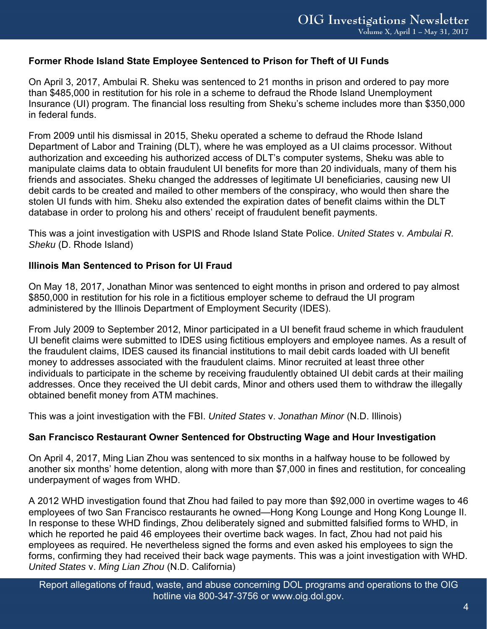## **Former Rhode Island State Employee Sentenced to Prison for Theft of UI Funds**

On April 3, 2017, Ambulai R. Sheku was sentenced to 21 months in prison and ordered to pay more than \$485,000 in restitution for his role in a scheme to defraud the Rhode Island Unemployment Insurance (UI) program. The financial loss resulting from Sheku's scheme includes more than \$350,000 in federal funds.

From 2009 until his dismissal in 2015, Sheku operated a scheme to defraud the Rhode Island Department of Labor and Training (DLT), where he was employed as a UI claims processor. Without authorization and exceeding his authorized access of DLT's computer systems, Sheku was able to manipulate claims data to obtain fraudulent UI benefits for more than 20 individuals, many of them his friends and associates. Sheku changed the addresses of legitimate UI beneficiaries, causing new UI debit cards to be created and mailed to other members of the conspiracy, who would then share the stolen UI funds with him. Sheku also extended the expiration dates of benefit claims within the DLT database in order to prolong his and others' receipt of fraudulent benefit payments.

This was a joint investigation with USPIS and Rhode Island State Police. *United States* v*. Ambulai R. Sheku* (D. Rhode Island)

## **Illinois Man Sentenced to Prison for UI Fraud**

On May 18, 2017, Jonathan Minor was sentenced to eight months in prison and ordered to pay almost \$850,000 in restitution for his role in a fictitious employer scheme to defraud the UI program administered by the Illinois Department of Employment Security (IDES).

From July 2009 to September 2012, Minor participated in a UI benefit fraud scheme in which fraudulent UI benefit claims were submitted to IDES using fictitious employers and employee names. As a result of the fraudulent claims, IDES caused its financial institutions to mail debit cards loaded with UI benefit money to addresses associated with the fraudulent claims. Minor recruited at least three other individuals to participate in the scheme by receiving fraudulently obtained UI debit cards at their mailing addresses. Once they received the UI debit cards, Minor and others used them to withdraw the illegally obtained benefit money from ATM machines.

This was a joint investigation with the FBI. *United States* v. *Jonathan Minor* (N.D. Illinois)

## **San Francisco Restaurant Owner Sentenced for Obstructing Wage and Hour Investigation**

On April 4, 2017, Ming Lian Zhou was sentenced to six months in a halfway house to be followed by another six months' home detention, along with more than \$7,000 in fines and restitution, for concealing underpayment of wages from WHD.

A 2012 WHD investigation found that Zhou had failed to pay more than \$92,000 in overtime wages to 46 employees of two San Francisco restaurants he owned—Hong Kong Lounge and Hong Kong Lounge II. In response to these WHD findings, Zhou deliberately signed and submitted falsified forms to WHD, in which he reported he paid 46 employees their overtime back wages. In fact, Zhou had not paid his employees as required. He nevertheless signed the forms and even asked his employees to sign the forms, confirming they had received their back wage payments. This was a joint investigation with WHD. *United States* v. *Ming Lian Zhou* (N.D. California)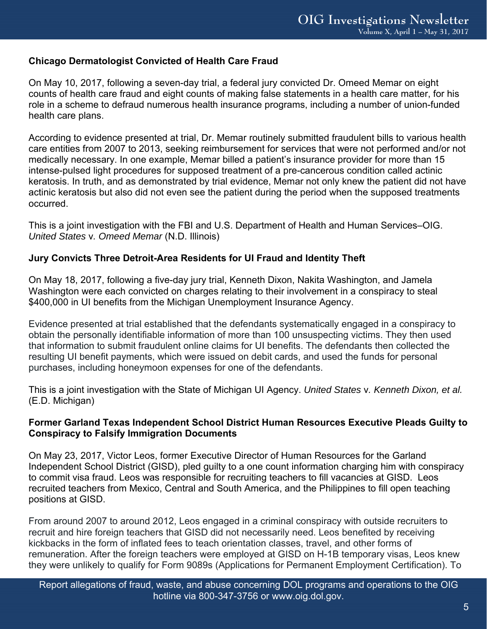#### **Chicago Dermatologist Convicted of Health Care Fraud**

On May 10, 2017, following a seven-day trial, a federal jury convicted Dr. Omeed Memar on eight counts of health care fraud and eight counts of making false statements in a health care matter, for his role in a scheme to defraud numerous health insurance programs, including a number of union-funded health care plans.

According to evidence presented at trial, Dr. Memar routinely submitted fraudulent bills to various health care entities from 2007 to 2013, seeking reimbursement for services that were not performed and/or not medically necessary. In one example, Memar billed a patient's insurance provider for more than 15 intense-pulsed light procedures for supposed treatment of a pre-cancerous condition called actinic keratosis. In truth, and as demonstrated by trial evidence, Memar not only knew the patient did not have actinic keratosis but also did not even see the patient during the period when the supposed treatments occurred.

This is a joint investigation with the FBI and U.S. Department of Health and Human Services–OIG. *United States* v*. Omeed Memar* (N.D. Illinois)

#### **Jury Convicts Three Detroit-Area Residents for UI Fraud and Identity Theft**

On May 18, 2017, following a five-day jury trial, Kenneth Dixon, Nakita Washington, and Jamela Washington were each convicted on charges relating to their involvement in a conspiracy to steal \$400,000 in UI benefits from the Michigan Unemployment Insurance Agency.

Evidence presented at trial established that the defendants systematically engaged in a conspiracy to obtain the personally identifiable information of more than 100 unsuspecting victims. They then used that information to submit fraudulent online claims for UI benefits. The defendants then collected the resulting UI benefit payments, which were issued on debit cards, and used the funds for personal purchases, including honeymoon expenses for one of the defendants.

This is a joint investigation with the State of Michigan UI Agency. *United States* v*. Kenneth Dixon, et al.*  (E.D. Michigan)

#### **Former Garland Texas Independent School District Human Resources Executive Pleads Guilty to Conspiracy to Falsify Immigration Documents**

On May 23, 2017, Victor Leos, former Executive Director of Human Resources for the Garland Independent School District (GISD), pled guilty to a one count information charging him with conspiracy to commit visa fraud. Leos was responsible for recruiting teachers to fill vacancies at GISD. Leos recruited teachers from Mexico, Central and South America, and the Philippines to fill open teaching positions at GISD.

From around 2007 to around 2012, Leos engaged in a criminal conspiracy with outside recruiters to recruit and hire foreign teachers that GISD did not necessarily need. Leos benefited by receiving kickbacks in the form of inflated fees to teach orientation classes, travel, and other forms of remuneration. After the foreign teachers were employed at GISD on H-1B temporary visas, Leos knew they were unlikely to qualify for Form 9089s (Applications for Permanent Employment Certification). To